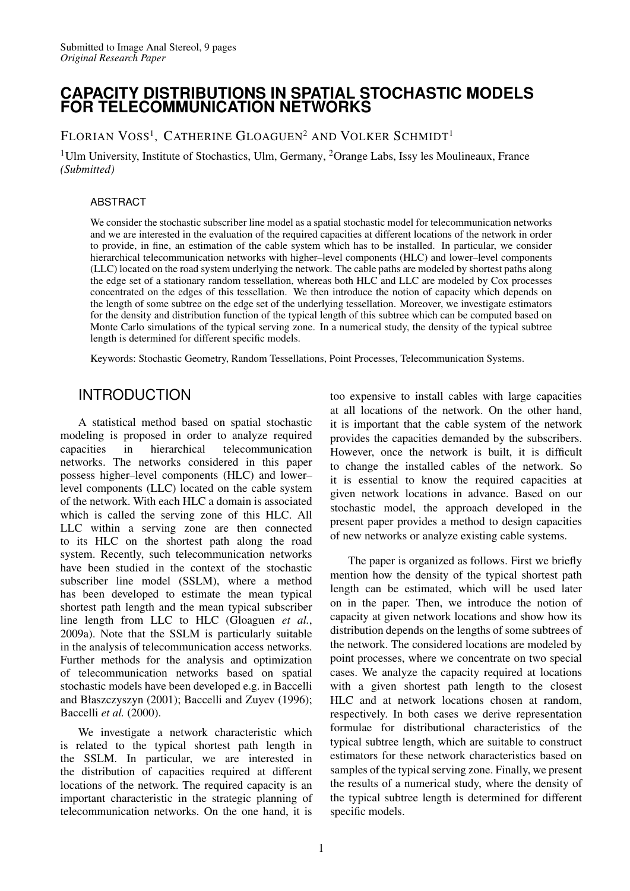# **CAPACITY DISTRIBUTIONS IN SPATIAL STOCHASTIC MODELS FOR TELECOMMUNICATION NETWORKS**

Florian Voss<sup>1</sup>, Catherine Gloaguen<sup>2</sup> and Volker Schmidt<sup>1</sup>

<sup>1</sup>Ulm University, Institute of Stochastics, Ulm, Germany, <sup>2</sup>Orange Labs, Issy les Moulineaux, France *(Submitted)*

#### ABSTRACT

We consider the stochastic subscriber line model as a spatial stochastic model for telecommunication networks and we are interested in the evaluation of the required capacities at different locations of the network in order to provide, in fine, an estimation of the cable system which has to be installed. In particular, we consider hierarchical telecommunication networks with higher–level components (HLC) and lower–level components (LLC) located on the road system underlying the network. The cable paths are modeled by shortest paths along the edge set of a stationary random tessellation, whereas both HLC and LLC are modeled by Cox processes concentrated on the edges of this tessellation. We then introduce the notion of capacity which depends on the length of some subtree on the edge set of the underlying tessellation. Moreover, we investigate estimators for the density and distribution function of the typical length of this subtree which can be computed based on Monte Carlo simulations of the typical serving zone. In a numerical study, the density of the typical subtree length is determined for different specific models.

Keywords: Stochastic Geometry, Random Tessellations, Point Processes, Telecommunication Systems.

# INTRODUCTION

A statistical method based on spatial stochastic modeling is proposed in order to analyze required capacities in hierarchical telecommunication networks. The networks considered in this paper possess higher–level components (HLC) and lower– level components (LLC) located on the cable system of the network. With each HLC a domain is associated which is called the serving zone of this HLC. All LLC within a serving zone are then connected to its HLC on the shortest path along the road system. Recently, such telecommunication networks have been studied in the context of the stochastic subscriber line model (SSLM), where a method has been developed to estimate the mean typical shortest path length and the mean typical subscriber line length from LLC to HLC (Gloaguen *et al.*, 2009a). Note that the SSLM is particularly suitable in the analysis of telecommunication access networks. Further methods for the analysis and optimization of telecommunication networks based on spatial stochastic models have been developed e.g. in Baccelli and Błaszczyszyn (2001); Baccelli and Zuyev (1996); Baccelli *et al.* (2000).

We investigate a network characteristic which is related to the typical shortest path length in the SSLM. In particular, we are interested in the distribution of capacities required at different locations of the network. The required capacity is an important characteristic in the strategic planning of telecommunication networks. On the one hand, it is

too expensive to install cables with large capacities at all locations of the network. On the other hand, it is important that the cable system of the network provides the capacities demanded by the subscribers. However, once the network is built, it is difficult to change the installed cables of the network. So it is essential to know the required capacities at given network locations in advance. Based on our stochastic model, the approach developed in the present paper provides a method to design capacities of new networks or analyze existing cable systems.

The paper is organized as follows. First we briefly mention how the density of the typical shortest path length can be estimated, which will be used later on in the paper. Then, we introduce the notion of capacity at given network locations and show how its distribution depends on the lengths of some subtrees of the network. The considered locations are modeled by point processes, where we concentrate on two special cases. We analyze the capacity required at locations with a given shortest path length to the closest HLC and at network locations chosen at random, respectively. In both cases we derive representation formulae for distributional characteristics of the typical subtree length, which are suitable to construct estimators for these network characteristics based on samples of the typical serving zone. Finally, we present the results of a numerical study, where the density of the typical subtree length is determined for different specific models.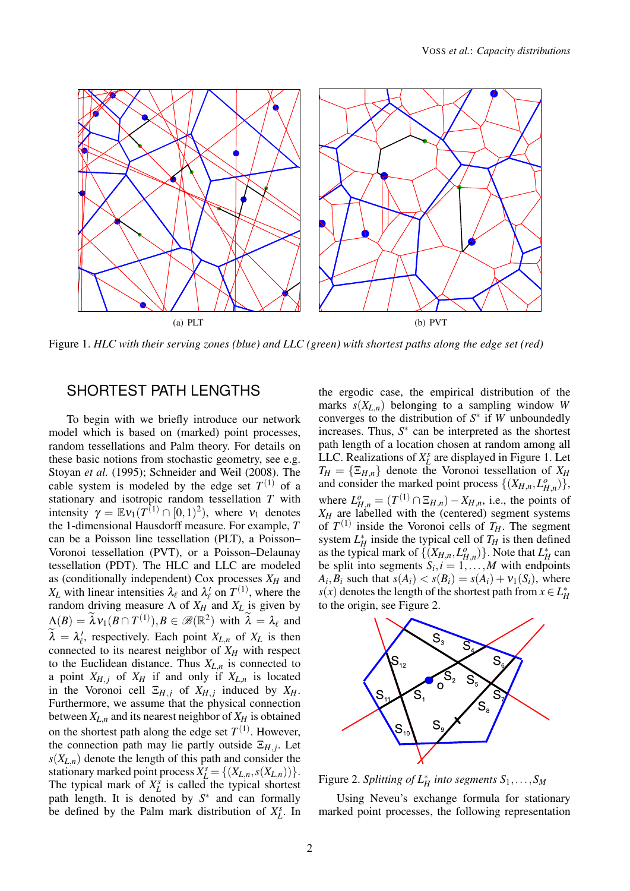

Figure 1. *HLC with their serving zones (blue) and LLC (green) with shortest paths along the edge set (red)*

# SHORTEST PATH LENGTHS

To begin with we briefly introduce our network model which is based on (marked) point processes, random tessellations and Palm theory. For details on these basic notions from stochastic geometry, see e.g. Stoyan *et al.* (1995); Schneider and Weil (2008). The cable system is modeled by the edge set  $T^{(1)}$  of a stationary and isotropic random tessellation *T* with intensity  $\gamma = \mathbb{E} \nu_1(T^{(1)} \cap [0, 1)^2)$ , where  $\nu_1$  denotes the 1-dimensional Hausdorff measure. For example, *T* can be a Poisson line tessellation (PLT), a Poisson– Voronoi tessellation (PVT), or a Poisson–Delaunay tessellation (PDT). The HLC and LLC are modeled as (conditionally independent) Cox processes *X<sup>H</sup>* and *X*<sup>*L*</sup> with linear intensities  $\lambda_{\ell}$  and  $\lambda'_{\ell}$  on  $T^{(1)}$ , where the random driving measure  $\Lambda$  of  $X_H$  and  $X_L$  is given by  $\Lambda(\mathcal{B}) = \widetilde{\lambda} \nu_1(\mathcal{B} \cap T^{(1)}), \mathcal{B} \in \mathscr{B}(\mathbb{R}^2)$  with  $\widetilde{\lambda} = \lambda_\ell$  and  $\lambda = \lambda_{\ell}$ , respectively. Each point  $X_{L,n}$  of  $X_L$  is then connected to its nearest neighbor of *X<sup>H</sup>* with respect to the Euclidean distance. Thus  $X_{L,n}$  is connected to a point  $X_{H,j}$  of  $X_H$  if and only if  $X_{L,n}$  is located in the Voronoi cell  $\Xi_{H,j}$  of  $X_{H,j}$  induced by  $X_H$ . Furthermore, we assume that the physical connection between  $X_{L,n}$  and its nearest neighbor of  $X_H$  is obtained on the shortest path along the edge set  $T^{(1)}$ . However, the connection path may lie partly outside  $\Xi_{H,j}$ . Let  $s(X_{L,n})$  denote the length of this path and consider the stationary marked point process  $\overline{X}_{L}^{s} = \{(X_{L,n}, s(X_{L,n}))\}.$ The typical mark of  $X_L^s$  is called the typical shortest path length. It is denoted by  $S^*$  and can formally be defined by the Palm mark distribution of  $X_L^s$ . In

the ergodic case, the empirical distribution of the marks  $s(X_{L,n})$  belonging to a sampling window *W* converges to the distribution of *S* ∗ if *W* unboundedly increases. Thus, *S* ∗ can be interpreted as the shortest path length of a location chosen at random among all LLC. Realizations of  $X_L^s$  are displayed in Figure 1. Let  $T_H = \{\Xi_{H,n}\}\$  denote the Voronoi tessellation of  $X_H$ and consider the marked point process  $\{(X_{H,n}, L_{H,n}^o)\},$ where  $L_{H,n}^o = (T^{(1)} \cap \Xi_{H,n}) - X_{H,n}$ , i.e., the points of  $X_H$  are labelled with the (centered) segment systems of  $T^{(1)}$  inside the Voronoi cells of  $T_H$ . The segment system  $L_H^*$  inside the typical cell of  $T_H$  is then defined as the typical mark of  $\{(\hat{X}_{H,n}, L_{H,n}^o)\}\)$ . Note that  $L_H^*$  can be split into segments  $S_i$ ,  $i = 1, \ldots, M$  with endpoints  $A_i, B_i$  such that  $s(A_i) < s(B_i) = s(A_i) + v_1(S_i)$ , where *s*(*x*) denotes the length of the shortest path from  $x \in L_H^*$ to the origin, see Figure 2.



Figure 2. *Splitting of*  $L_H^*$  *into segments*  $S_1, \ldots, S_M$ 

Using Neveu's exchange formula for stationary marked point processes, the following representation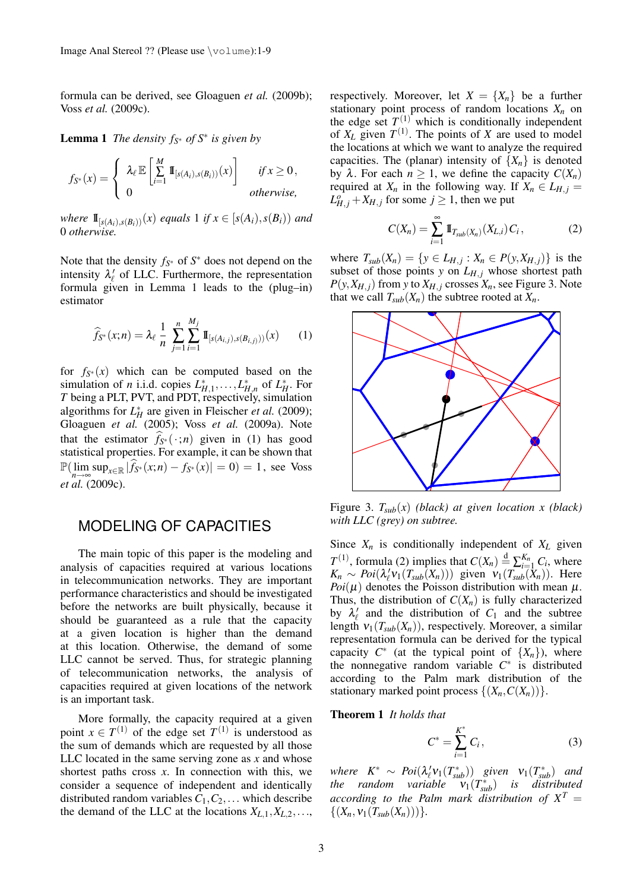formula can be derived, see Gloaguen *et al.* (2009b); Voss *et al.* (2009c).

Lemma 1 *The density f<sup>S</sup>* <sup>∗</sup> *of S*<sup>∗</sup> *is given by*

$$
f_{S^*}(x) = \begin{cases} \lambda_{\ell} \mathbb{E}\left[\sum_{i=1}^M \mathbb{I}_{[s(A_i), s(B_i))}(x)\right] & \text{if } x \geq 0, \\ 0 & \text{otherwise,} \end{cases}
$$

*where*  $\mathbb{I}_{[s(A_i),s(B_i))}(x)$  *equals* 1 *if*  $x \in [s(A_i), s(B_i))$  *and* 0 *otherwise.*

Note that the density *f<sup>S</sup>* <sup>∗</sup> of *S* <sup>∗</sup> does not depend on the intensity  $\lambda_{\ell}$  of LLC. Furthermore, the representation formula given in Lemma 1 leads to the (plug–in) estimator

$$
\widehat{f}_{S^*}(x;n) = \lambda_{\ell} \frac{1}{n} \sum_{j=1}^n \sum_{i=1}^{M_j} \mathbb{I}_{[s(A_{i,j}),s(B_{i,j)})}(x)
$$
 (1)

for  $f_{S^*}(x)$  which can be computed based on the simulation of *n* i.i.d. copies  $L_{H,1}^*$ , ...,  $L_{H,n}^*$  of  $L_H^*$ . For *T* being a PLT, PVT, and PDT, respectively, simulation algorithms for  $L_H^*$  are given in Fleischer *et al.* (2009); Gloaguen *et al.* (2005); Voss *et al.* (2009a). Note that the estimator  $f_{S^*}(\cdot; n)$  given in (1) has good statistical properties. For example, it can be shown that  $\mathbb{P}(\lim_{n\to\infty} \sup_{x\in\mathbb{R}} |\widehat{f}_{S^*}(x;n) - f_{S^*}(x)| = 0) = 1$ , see Voss  $\int_{n\to\infty}^{\infty}$   $\int_{1}^{\infty}$  *n*→∞

## MODELING OF CAPACITIES

The main topic of this paper is the modeling and analysis of capacities required at various locations in telecommunication networks. They are important performance characteristics and should be investigated before the networks are built physically, because it should be guaranteed as a rule that the capacity at a given location is higher than the demand at this location. Otherwise, the demand of some LLC cannot be served. Thus, for strategic planning of telecommunication networks, the analysis of capacities required at given locations of the network is an important task.

More formally, the capacity required at a given point  $x \in T^{(1)}$  of the edge set  $T^{(1)}$  is understood as the sum of demands which are requested by all those LLC located in the same serving zone as *x* and whose shortest paths cross  $x$ . In connection with this, we consider a sequence of independent and identically distributed random variables  $C_1, C_2, \ldots$  which describe the demand of the LLC at the locations  $X_{L,1}, X_{L,2}, \ldots$ , respectively. Moreover, let  $X = \{X_n\}$  be a further stationary point process of random locations  $X_n$  on the edge set  $T^{(1)}$  which is conditionally independent of  $X_L$  given  $T^{(1)}$ . The points of *X* are used to model the locations at which we want to analyze the required capacities. The (planar) intensity of  $\{X_n\}$  is denoted by  $\lambda$ . For each  $n \geq 1$ , we define the capacity  $C(X_n)$ required at  $X_n$  in the following way. If  $X_n \in L_{H,j}$  $L_{H,j}^o + X_{H,j}$  for some  $j \ge 1$ , then we put

$$
C(X_n) = \sum_{i=1}^{\infty} \mathbb{I}_{T_{\text{Sub}}(X_n)}(X_{L,i}) C_i, \qquad (2)
$$

where  $T_{sub}(X_n) = \{ y \in L_{H,j} : X_n \in P(y, X_{H,j}) \}$  is the subset of those points *y* on  $L_{H,j}$  whose shortest path  $P(y, X_{H,i})$  from *y* to  $X_{H,i}$  crosses  $X_n$ , see Figure 3. Note that we call  $T_{sub}(X_n)$  the subtree rooted at  $X_n$ .



Figure 3.  $T_{sub}(x)$  (black) at given location x (black) *with LLC (grey) on subtree.*

Since  $X_n$  is conditionally independent of  $X_L$  given *T*<sup>(1)</sup>, formula (2) implies that  $C(X_n) \triangleq \sum_{i=1}^{K_n} C_i$ , where  $K_n \sim Poi(\lambda_{\ell}' \nu_1(T_{sub}(X_n)))$  given  $\nu_1(T_{sub}(X_n))$ . Here  $Poi(\mu)$  denotes the Poisson distribution with mean  $\mu$ . Thus, the distribution of  $C(X_n)$  is fully characterized by  $\lambda'_\ell$  and the distribution of  $C_1$  and the subtree length  $v_1(T_{sub}(X_n))$ , respectively. Moreover, a similar representation formula can be derived for the typical capacity  $C^*$  (at the typical point of  $\{X_n\}$ ), where the nonnegative random variable  $C^*$  is distributed according to the Palm mark distribution of the stationary marked point process  $\{(X_n, C(X_n))\}.$ 

Theorem 1 *It holds that*

$$
C^* = \sum_{i=1}^{K^*} C_i, \tag{3}
$$

*where*  $K^* \sim Poi(\lambda_{\ell}^{\prime} v_1(T^*_{sub}))$  *given*  $v_1(T^*_{sub})$  *and the random variable*  $v_1(T_{sub}^*)$  *is distributed according to the Palm mark distribution of*  $X^T$  =  $\{(X_n, v_1(T_{sub}(X_n)))\}.$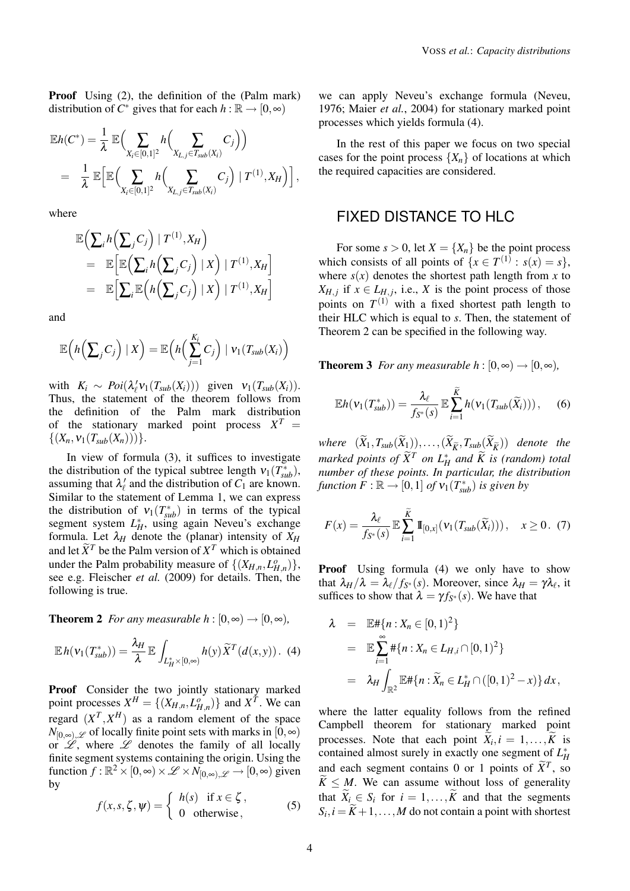Proof Using (2), the definition of the (Palm mark) distribution of  $C^*$  gives that for each  $h : \mathbb{R} \to [0, \infty)$ 

$$
\mathbb{E}h(C^*) = \frac{1}{\lambda} \mathbb{E} \Biggl( \sum_{X_i \in [0,1]^2} h \Biggl( \sum_{X_{L,j} \in T_{sub}(X_i)} C_j \Biggr) \Biggr) \n= \frac{1}{\lambda} \mathbb{E} \Biggl[ \mathbb{E} \Biggl( \sum_{X_i \in [0,1]^2} h \Biggl( \sum_{X_{L,j} \in T_{sub}(X_i)} C_j \Biggr) \mid T^{(1)}, X_H \Biggr) \Biggr],
$$

where

$$
\mathbb{E}\Big(\sum_{i} h\Big(\sum_{j} C_{j}\Big) | T^{(1)}, X_{H}\Big) \n= \mathbb{E}\Big[\mathbb{E}\Big(\sum_{i} h\Big(\sum_{j} C_{j}\Big) | X\Big) | T^{(1)}, X_{H}\Big] \n= \mathbb{E}\Big[\sum_{i} \mathbb{E}\Big(h\Big(\sum_{j} C_{j}\Big) | X\Big) | T^{(1)}, X_{H}\Big]
$$

and

$$
\mathbb{E}\Big(h\Big(\sum_j C_j\Big)\mid X\Big)=\mathbb{E}\Big(h\Big(\sum_{j=1}^{K_i} C_j\Big)\mid \mathsf v_1(T_{sub}(X_i)\Big)
$$

with  $K_i \sim Poi(\lambda_{\ell}^{\prime} v_1(T_{sub}(X_i)))$  given  $v_1(T_{sub}(X_i))$ . Thus, the statement of the theorem follows from the definition of the Palm mark distribution of the stationary marked point process  $X^T =$  $\{(X_n, V_1(T_{sub}(X_n)))\}.$ 

In view of formula (3), it suffices to investigate the distribution of the typical subtree length  $v_1(T_{sub}^*)$ , assuming that  $\lambda'_\ell$  and the distribution of  $C_1$  are known. Similar to the statement of Lemma 1, we can express the distribution of  $v_1(T_{sub}^*)$  in terms of the typical segment system  $L_H^*$ , using again Neveu's exchange formula. Let  $\lambda_H$  denote the (planar) intensity of  $X_H$ and let  $\widetilde{X}^T$  be the Palm version of  $X^T$  which is obtained under the Palm probability measure of  $\{(X_{H,n}, L_{H,n}^o)\},$ see e.g. Fleischer *et al.* (2009) for details. Then, the following is true.

**Theorem 2** *For any measurable h* :  $[0, \infty) \rightarrow [0, \infty)$ *,* 

$$
\mathbb{E} h(\mathbf{v}_1(T_{sub}^*)) = \frac{\lambda_H}{\lambda} \mathbb{E} \int_{L_H^* \times [0,\infty)} h(y) \widetilde{X}^T(d(x,y)). \tag{4}
$$

Proof Consider the two jointly stationary marked point processes  $X^H = \{(X_{H,n}, L_{H,n}^o)\}\$  and  $X^T$ . We can regard  $(X^T, X^H)$  as a random element of the space  $N_{[0,\infty),\mathscr{L}}$  of locally finite point sets with marks in [0, ∞) or  $\mathscr{L}$ , where  $\mathscr{L}$  denotes the family of all locally finite segment systems containing the origin. Using the function  $f : \mathbb{R}^2 \times [0, \infty) \times \mathscr{L} \times N_{[0, \infty), \mathscr{L}} \to [0, \infty)$  given by

$$
f(x, s, \zeta, \psi) = \begin{cases} h(s) & \text{if } x \in \zeta, \\ 0 & \text{otherwise}, \end{cases}
$$
 (5)

we can apply Neveu's exchange formula (Neveu, 1976; Maier *et al.*, 2004) for stationary marked point processes which yields formula (4).

In the rest of this paper we focus on two special cases for the point process  $\{X_n\}$  of locations at which the required capacities are considered.

## FIXED DISTANCE TO HLC

For some  $s > 0$ , let  $X = \{X_n\}$  be the point process which consists of all points of  $\{x \in T^{(1)} : s(x) = s\}$ , where  $s(x)$  denotes the shortest path length from x to  $X_{H,j}$  if  $x \in L_{H,j}$ , i.e., *X* is the point process of those points on  $T^{(1)}$  with a fixed shortest path length to their HLC which is equal to *s*. Then, the statement of Theorem 2 can be specified in the following way.

**Theorem 3** *For any measurable h* :  $[0, \infty) \rightarrow [0, \infty)$ *,* 

$$
\mathbb{E}h(\mathbf{v}_1(T_{sub}^*)) = \frac{\lambda_{\ell}}{f_{S^*}(s)} \mathbb{E} \sum_{i=1}^{\widetilde{K}} h(\mathbf{v}_1(T_{sub}(\widetilde{X}_i))), \quad (6)
$$

 $where \ (X_1, T_{sub}(X_1)), \ldots, (X_{\widetilde{K}}, T_{sub}(X_{\widetilde{K}})) \ denote the$ *marked points of*  $\widetilde{X}^T$  *on*  $L^*$ <sub>*H*</sub> *and*  $\widetilde{K}$  *is (random) total number of these points. In particular, the distribution function*  $\tilde{F}$  :  $\mathbb{R} \to [0,1]$  *of*  $v_1(T_{sub}^*)$  *is given by* 

$$
F(x) = \frac{\lambda_{\ell}}{f_{S^*}(s)} \mathbb{E} \sum_{i=1}^{\widetilde{K}} \mathbb{I}_{[0,x]}(\nu_1(T_{sub}(\widetilde{X}_i))), \quad x \ge 0. \tag{7}
$$

**Proof** Using formula (4) we only have to show that  $\lambda_H/\lambda = \lambda_{\ell}/f_{S^*}(s)$ . Moreover, since  $\lambda_H = \gamma \lambda_{\ell}$ , it suffices to show that  $\lambda = \gamma f_{S^*}(s)$ . We have that

$$
\lambda = \mathbb{E} \# \{ n : X_n \in [0,1)^2 \}
$$
  
=  $\mathbb{E} \sum_{i=1}^{\infty} \# \{ n : X_n \in L_{H,i} \cap [0,1)^2 \}$   
=  $\lambda_H \int_{\mathbb{R}^2} \mathbb{E} \# \{ n : \widetilde{X}_n \in L_H^* \cap ([0,1)^2 - x) \} dx,$ 

where the latter equality follows from the refined Campbell theorem for stationary marked point processes. Note that each point  $X_i, i = 1, \ldots, K$  is contained almost surely in exactly one segment of  $L_H^*$ and each segment contains 0 or 1 points of  $\widetilde{X}^T$ , so  $\widetilde{K} \leq M$ . We can assume without loss of generality that  $\widetilde{X}_i \in S_i$  for  $i = 1, \ldots, \widetilde{K}$  and that the segments  $S_i$ ,  $i = K+1, \ldots, M$  do not contain a point with shortest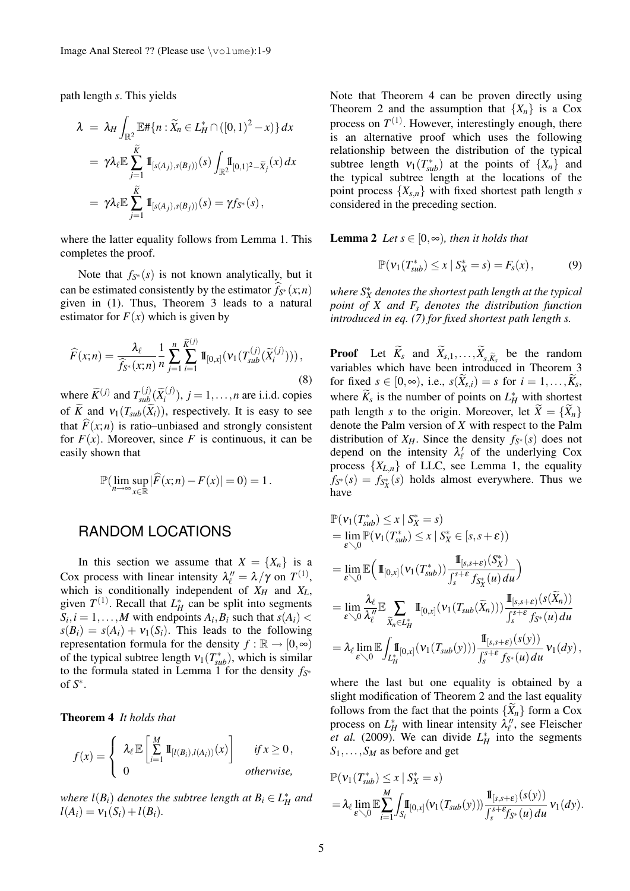path length *s*. This yields

$$
\lambda = \lambda_H \int_{\mathbb{R}^2} \mathbb{E} \# \{ n : \widetilde{X}_n \in L_H^* \cap ([0, 1)^2 - x) \} dx
$$
  
=  $\gamma \lambda_\ell \mathbb{E} \sum_{j=1}^{\widetilde{K}} \mathbf{I}_{[s(A_j), s(B_j))}(s) \int_{\mathbb{R}^2} \mathbf{I}_{[0, 1)^2 - \widetilde{X}_j}(x) dx$   
=  $\gamma \lambda_\ell \mathbb{E} \sum_{j=1}^{\widetilde{K}} \mathbf{I}_{[s(A_j), s(B_j))}(s) = \gamma f_{S^*}(s),$ 

where the latter equality follows from Lemma 1. This completes the proof.

Note that  $f_{S^*}(s)$  is not known analytically, but it can be estimated consistently by the estimator  $f_{S^*}(x; n)$ given in (1). Thus, Theorem 3 leads to a natural estimator for  $F(x)$  which is given by

$$
\widehat{F}(x;n) = \frac{\lambda_{\ell}}{\widehat{f}_{S^*}(x;n)} \frac{1}{n} \sum_{j=1}^n \sum_{i=1}^{\widetilde{K}^{(j)}} \mathbb{I}_{[0,x]}(\nu_1(T_{sub}^{(j)}(\widetilde{X}_i^{(j)}))),
$$
\n(8)

where  $\widetilde{K}^{(j)}$  and  $T_{sub}^{(j)}(\widetilde{X}_{i}^{(j)})$  $(i^{(j)}_i), j = 1, ..., n$  are i.i.d. copies of  $\widetilde{K}$  and  $v_1(T_{sub}(\widetilde{X}_i))$ , respectively. It is easy to see that  $\widehat{F}(x; n)$  is ratio–unbiased and strongly consistent for  $F(x)$ . Moreover, since F is continuous, it can be easily shown that

$$
\mathbb{P}(\lim_{n\to\infty}\sup_{x\in\mathbb{R}}|\widehat{F}(x;n)-F(x)|=0)=1.
$$

#### RANDOM LOCATIONS

In this section we assume that  $X = \{X_n\}$  is a Cox process with linear intensity  $\lambda_{\ell}^{"} = \lambda / \gamma$  on  $T^{(1)}$ , which is conditionally independent of  $X_H$  and  $X_L$ , given  $T^{(1)}$ . Recall that  $L_H^*$  can be split into segments  $S_i$ ,  $i = 1, ..., M$  with endpoints  $A_i$ ,  $B_i$  such that  $s(A_i)$  $s(B_i) = s(A_i) + v_1(S_i)$ . This leads to the following representation formula for the density  $f : \mathbb{R} \to [0, \infty)$ of the typical subtree length  $v_1(T_{sub}^*)$ , which is similar to the formula stated in Lemma 1 for the density *f<sup>S</sup>* ∗ of *S* ∗ .

#### Theorem 4 *It holds that*

$$
f(x) = \begin{cases} \lambda_{\ell} \mathbb{E}\left[\sum_{i=1}^{M} \mathbb{I}_{[l(B_i),l(A_i))}(x)\right] & \text{if } x \geq 0, \\ 0 & \text{otherwise,} \end{cases}
$$

*where*  $l(B_i)$  *denotes the subtree length at*  $B_i \in L_H^*$  *and*  $l(A_i) = v_1(S_i) + l(B_i).$ 

Note that Theorem 4 can be proven directly using Theorem 2 and the assumption that  ${X_n}$  is a Cox process on  $T^{(1)}$ . However, interestingly enough, there is an alternative proof which uses the following relationship between the distribution of the typical subtree length  $v_1(T_{sub}^*)$  at the points of  $\{X_n\}$  and the typical subtree length at the locations of the point process  ${X_{s,n}}$  with fixed shortest path length *s* considered in the preceding section.

**Lemma 2** *Let*  $s \in [0, \infty)$ *, then it holds that* 

$$
\mathbb{P}(v_1(T_{sub}^*) \le x \mid S_X^* = s) = F_s(x), \tag{9}
$$

where  $S_X^*$  denotes the shortest path length at the typical *point of X and F<sup>s</sup> denotes the distribution function introduced in eq. (7) for fixed shortest path length s.*

**Proof** Let  $K_s$  and  $X_{s,1},...,X_{s,\tilde{K}_s}$  be the random variables which have been integlyzed in Theorem 2 variables which have been introduced in Theorem 3 for fixed  $s \in [0, \infty)$ , i.e.,  $s(X_{s,i}) = s$  for  $i = 1, \ldots, K_s$ , where  $\widetilde{K}_s$  is the number of points on  $L^*_H$  with shortest path length *s* to the origin. Moreover, let  $\widetilde{X} = {\widetilde{X}_n}$ denote the Palm version of *X* with respect to the Palm distribution of  $X_H$ . Since the density  $f_{S^*}(s)$  does not depend on the intensity  $\lambda_{\ell}^{\prime}$  of the underlying Cox process  ${X_{L,n}}$  of LLC, see Lemma 1, the equality  $f_{S^*}(s) = f_{S_X^*}(s)$  holds almost everywhere. Thus we have

$$
\mathbb{P}(v_1(T_{sub}^*) \le x \mid S_X^* = s)
$$
\n
$$
= \lim_{\varepsilon \searrow 0} \mathbb{P}(v_1(T_{sub}^*) \le x \mid S_X^* \in [s, s + \varepsilon))
$$
\n
$$
= \lim_{\varepsilon \searrow 0} \mathbb{E}\Big(\mathbb{I}_{[0,x]}(v_1(T_{sub}^*)) \frac{\mathbb{I}_{[s,s+\varepsilon)}(S_X^*)}{\int_s^{s+\varepsilon} f_{S_X^*}(u) du}\Big)
$$
\n
$$
= \lim_{\varepsilon \searrow 0} \frac{\lambda_\ell}{\lambda_\ell''} \mathbb{E} \sum_{\tilde{X}_n \in L_H^*} \mathbb{I}_{[0,x]}(v_1(T_{sub}(\tilde{X}_n))) \frac{\mathbb{I}_{[s,s+\varepsilon)}(s(\tilde{X}_n))}{\int_s^{s+\varepsilon} f_{S^*}(u) du}
$$
\n
$$
= \lambda_\ell \lim_{\varepsilon \searrow 0} \mathbb{E} \int_{L_H^*} \mathbb{I}_{[0,x]}(v_1(T_{sub}(y))) \frac{\mathbb{I}_{[s,s+\varepsilon)}(s(y))}{\int_s^{s+\varepsilon} f_{S^*}(u) du} v_1(dy),
$$

where the last but one equality is obtained by a slight modification of Theorem 2 and the last equality follows from the fact that the points  $\{X_n\}$  form a Cox process on  $L_H^*$  with linear intensity  $\lambda_{\ell}^{"}$ , see Fleischer *et al.* (2009). We can divide  $L_H^*$  into the segments *S*1,...,*S<sup>M</sup>* as before and get

$$
\mathbb{P}(\nu_1(T_{sub}^*)) \leq x \mid S_X^* = s)
$$
  
=  $\lambda_\ell \lim_{\varepsilon \searrow 0} \mathbb{E} \sum_{i=1}^M \int_{S_i} I\!\!I_{[0,x]}(\nu_1(T_{sub}(y))) \frac{I\!\!I_{[s,s+\varepsilon)}(s(y))}{\int_{S}^{s+\varepsilon} f_{S^*}(u) du} \nu_1(dy).$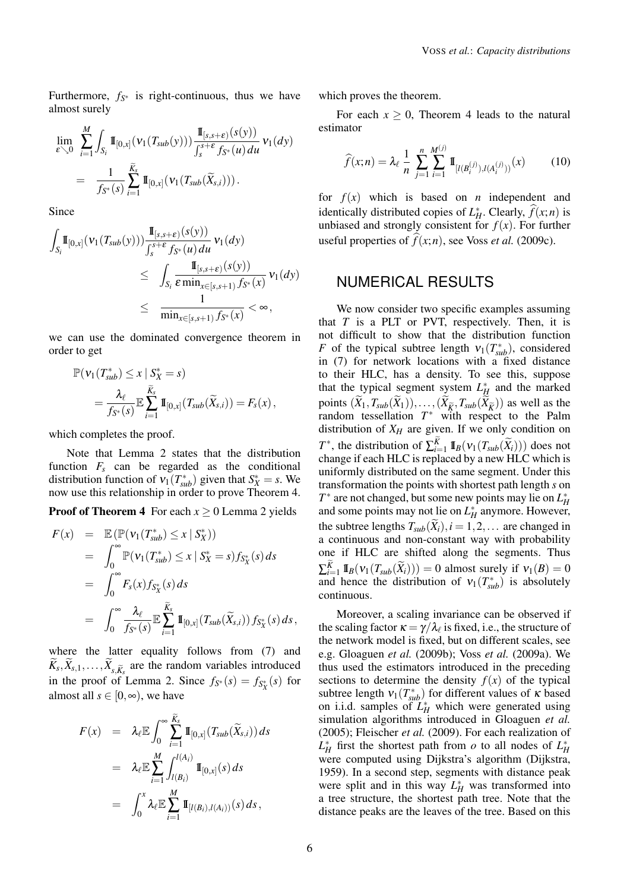Furthermore,  $f_{S^*}$  is right-continuous, thus we have almost surely

$$
\lim_{\varepsilon \searrow 0} \sum_{i=1}^{M} \int_{S_i} \mathbb{I}_{[0,x]}(\nu_1(T_{sub}(y))) \frac{\mathbb{I}_{[s,s+\varepsilon)}(s(y))}{\int_{s}^{s+\varepsilon} f_{S^*}(u) du} \nu_1(dy) \n= \frac{1}{f_{S^*}(s)} \sum_{i=1}^{\widetilde{K}_s} \mathbb{I}_{[0,x]}(\nu_1(T_{sub}(\widetilde{X}_{s,i}))).
$$

Since

$$
\int_{S_i} \mathbb{I}_{[0,x]}(v_1(T_{sub}(y))) \frac{\mathbb{I}_{[s,s+\epsilon)}(s(y))}{\int_s^{s+\epsilon} f_{S^*}(u) du} v_1(dy)
$$
\n
$$
\leq \int_{S_i} \frac{\mathbb{I}_{[s,s+\epsilon)}(s(y))}{\epsilon \min_{x \in [s,s+1)} f_{S^*}(x)} v_1(dy)
$$
\n
$$
\leq \frac{1}{\min_{x \in [s,s+1)} f_{S^*}(x)} < \infty,
$$

we can use the dominated convergence theorem in order to get

$$
\mathbb{P}(v_1(T_{sub}^*)) \le x \mid S_X^* = s)
$$
  
= 
$$
\frac{\lambda_{\ell}}{f_{S^*}(s)} \mathbb{E} \sum_{i=1}^{\widetilde{K}_s} \mathbb{I}_{[0,x]}(T_{sub}(\widetilde{X}_{s,i})) = F_s(x),
$$

which completes the proof.

Note that Lemma 2 states that the distribution function  $F_s$  can be regarded as the conditional distribution function of  $v_1(T_{sub}^*)$  given that  $S_X^* = s$ . We now use this relationship in order to prove Theorem 4.

**Proof of Theorem 4** For each  $x \ge 0$  Lemma 2 yields

$$
F(x) = \mathbb{E} (\mathbb{P} (v_1(T_{sub}^*) \le x | S_X^*))
$$
  
\n
$$
= \int_0^\infty \mathbb{P} (v_1(T_{sub}^*) \le x | S_X^* = s) f_{S_X^*}(s) ds
$$
  
\n
$$
= \int_0^\infty F_s(x) f_{S_X^*}(s) ds
$$
  
\n
$$
= \int_0^\infty \frac{\lambda_\ell}{f_{S^*}(s)} \mathbb{E} \sum_{i=1}^{\widetilde{K}_s} \mathbb{I}_{[0,x]}(T_{sub}(\widetilde{X}_{s,i})) f_{S_X^*}(s) ds,
$$

where the latter equality follows from (7) and  $K_s, X_{s,1}, \ldots, X_{s, \widetilde{K}_s}$  are the random variables introduced in the proof of Lemma 2. Since  $f_{S^*}(s) = f_{S_X^*}(s)$  for almost all  $s \in [0, \infty)$ , we have

$$
F(x) = \lambda_{\ell} \mathbb{E} \int_0^{\infty} \sum_{i=1}^{\widetilde{K}_s} \mathbb{I}_{[0,x]}(T_{sub}(\widetilde{X}_{s,i})) ds
$$
  
\n
$$
= \lambda_{\ell} \mathbb{E} \sum_{i=1}^M \int_{l(B_i)}^{l(A_i)} \mathbb{I}_{[0,x]}(s) ds
$$
  
\n
$$
= \int_0^x \lambda_{\ell} \mathbb{E} \sum_{i=1}^M \mathbb{I}_{[l(B_i),l(A_i))}(s) ds,
$$

which proves the theorem.

For each  $x \geq 0$ , Theorem 4 leads to the natural estimator

$$
\widehat{f}(x;n) = \lambda_{\ell} \frac{1}{n} \sum_{j=1}^{n} \sum_{i=1}^{M^{(j)}} \mathbb{I}_{[l(B_i^{(j)}),l(A_i^{(j)}))}(x)
$$
(10)

for  $f(x)$  which is based on *n* independent and identically distributed copies of  $L^*_{H}$ . Clearly,  $\hat{f}(x;n)$  is unbiased and strongly consistent for  $f(x)$ . For further useful properties of  $f(x; n)$ , see Voss *et al.* (2009c).

#### NUMERICAL RESULTS

We now consider two specific examples assuming that *T* is a PLT or PVT, respectively. Then, it is not difficult to show that the distribution function *F* of the typical subtree length  $v_1(T_{sub}^*)$ , considered in (7) for network locations with a fixed distance to their HLC, has a density. To see this, suppose that the typical segment system  $L_H^*$  and the marked points  $(X_1, T_{sub}(X_1)), \ldots, (X_{\tilde{K}}, T_{sub}(X_{\tilde{K}}))$  as well as the random tessellation  $T^*$  with respect to the Palm distribution of  $X_H$  are given. If we only condition on *T*<sup>\*</sup>, the distribution of  $\sum_{i=1}^{K}$  **I**<sub>*B*</sub>( $v_1(T_{sub}(\widetilde{X}_i)))$  does not change if each HLC is replaced by a new HLC which is uniformly distributed on the same segment. Under this transformation the points with shortest path length *s* on  $T^*$  are not changed, but some new points may lie on  $L_H^*$ and some points may not lie on  $L_H^*$  anymore. However, the subtree lengths  $T_{sub}(\widetilde{X}_i)$ ,  $i = 1, 2, \ldots$  are changed in a continuous and non-constant way with probability one if HLC are shifted along the segments. Thus  $\sum_{i=1}^{K} \mathbb{I}_{B}(v_1(T_{sub}(\widetilde{X}_i))) = 0$  almost surely if  $v_1(B) = 0$ and hence the distribution of  $v_1(T_{sub}^*)$  is absolutely continuous.

Moreover, a scaling invariance can be observed if the scaling factor  $\kappa = \gamma / \lambda_{\ell}$  is fixed, i.e., the structure of the network model is fixed, but on different scales, see e.g. Gloaguen *et al.* (2009b); Voss *et al.* (2009a). We thus used the estimators introduced in the preceding sections to determine the density  $f(x)$  of the typical subtree length  $v_1(T^*_{sub})$  for different values of  $\kappa$  based on i.i.d. samples of  $L_H^*$  which were generated using simulation algorithms introduced in Gloaguen *et al.* (2005); Fleischer *et al.* (2009). For each realization of  $L_H^*$  first the shortest path from *o* to all nodes of  $L_H^*$ were computed using Dijkstra's algorithm (Dijkstra, 1959). In a second step, segments with distance peak were split and in this way  $L_H^*$  was transformed into a tree structure, the shortest path tree. Note that the distance peaks are the leaves of the tree. Based on this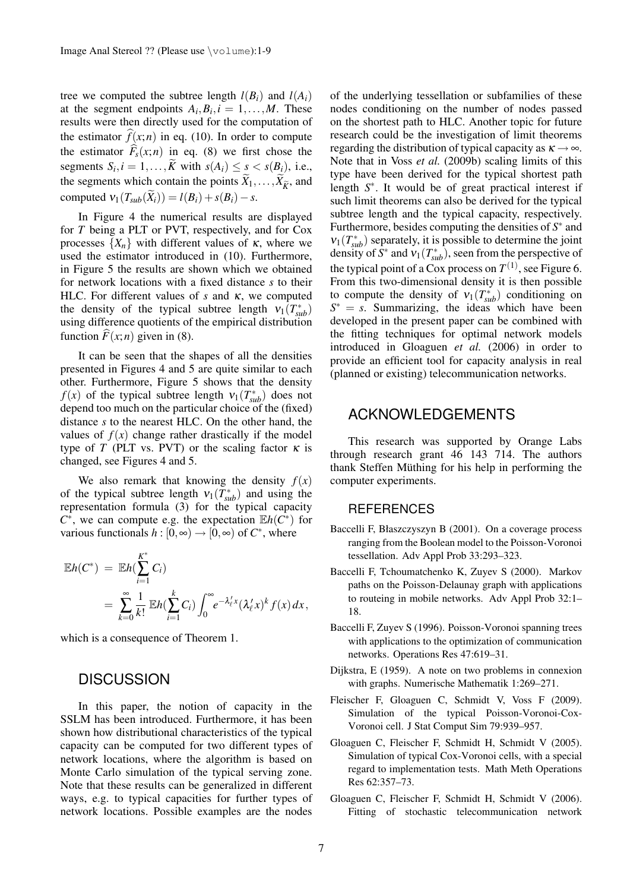tree we computed the subtree length  $l(B_i)$  and  $l(A_i)$ at the segment endpoints  $A_i, B_i, i = 1, \ldots, M$ . These results were then directly used for the computation of the estimator  $\hat{f}(x; n)$  in eq. (10). In order to compute the estimator  $\widehat{F}_s(x; n)$  in eq. (8) we first chose the segments  $S_i$ ,  $i = 1, ..., K$  with  $s(A_i) \leq s < s(B_i)$ , i.e., the segments which contain the points  $X_1, \ldots, X_{\widetilde{K}}$ , and computed  $v_1(T_{sub}(\widetilde{X}_i)) = l(B_i) + s(B_i) - s$ .

In Figure 4 the numerical results are displayed for *T* being a PLT or PVT, respectively, and for Cox processes  $\{X_n\}$  with different values of  $\kappa$ , where we used the estimator introduced in (10). Furthermore, in Figure 5 the results are shown which we obtained for network locations with a fixed distance *s* to their HLC. For different values of  $s$  and  $\kappa$ , we computed the density of the typical subtree length  $v_1(T_{sub}^*)$ using difference quotients of the empirical distribution function  $\widehat{F}(x; n)$  given in (8).

It can be seen that the shapes of all the densities presented in Figures 4 and 5 are quite similar to each other. Furthermore, Figure 5 shows that the density *f*(*x*) of the typical subtree length  $v_1(T_{sub}^*)$  does not depend too much on the particular choice of the (fixed) distance *s* to the nearest HLC. On the other hand, the values of  $f(x)$  change rather drastically if the model type of *T* (PLT vs. PVT) or the scaling factor  $\kappa$  is changed, see Figures 4 and 5.

We also remark that knowing the density  $f(x)$ of the typical subtree length  $v_1(T_{sub}^*)$  and using the representation formula (3) for the typical capacity  $C^*$ , we can compute e.g. the expectation  $\mathbb{E}h(C^*)$  for various functionals  $h: [0, \infty) \to [0, \infty)$  of  $C^*$ , where

$$
\mathbb{E}h(C^*) = \mathbb{E}h(\sum_{i=1}^{K^*} C_i)
$$
  
= 
$$
\sum_{k=0}^{\infty} \frac{1}{k!} \mathbb{E}h(\sum_{i=1}^k C_i) \int_0^{\infty} e^{-\lambda'_\ell x} (\lambda'_\ell x)^k f(x) dx,
$$

which is a consequence of Theorem 1.

#### **DISCUSSION**

In this paper, the notion of capacity in the SSLM has been introduced. Furthermore, it has been shown how distributional characteristics of the typical capacity can be computed for two different types of network locations, where the algorithm is based on Monte Carlo simulation of the typical serving zone. Note that these results can be generalized in different ways, e.g. to typical capacities for further types of network locations. Possible examples are the nodes of the underlying tessellation or subfamilies of these nodes conditioning on the number of nodes passed on the shortest path to HLC. Another topic for future research could be the investigation of limit theorems regarding the distribution of typical capacity as  $\kappa \rightarrow \infty$ . Note that in Voss *et al.* (2009b) scaling limits of this type have been derived for the typical shortest path length  $S^*$ . It would be of great practical interest if such limit theorems can also be derived for the typical subtree length and the typical capacity, respectively. Furthermore, besides computing the densities of *S* ∗ and  $v_1(T_{sub}^*)$  separately, it is possible to determine the joint density of  $\overline{S}^*$  and  $v_1(T^*_{sub})$ , seen from the perspective of the typical point of a Cox process on  $T^{(1)}$ , see Figure 6. From this two-dimensional density it is then possible to compute the density of  $v_1(T_{sub}^*)$  conditioning on  $S^* = s$ . Summarizing, the ideas which have been developed in the present paper can be combined with the fitting techniques for optimal network models introduced in Gloaguen *et al.* (2006) in order to provide an efficient tool for capacity analysis in real (planned or existing) telecommunication networks.

## ACKNOWLEDGEMENTS

This research was supported by Orange Labs through research grant 46 143 714. The authors thank Steffen Müthing for his help in performing the computer experiments.

#### **REFERENCES**

- Baccelli F, Błaszczyszyn B (2001). On a coverage process ranging from the Boolean model to the Poisson-Voronoi tessellation. Adv Appl Prob 33:293–323.
- Baccelli F, Tchoumatchenko K, Zuyev S (2000). Markov paths on the Poisson-Delaunay graph with applications to routeing in mobile networks. Adv Appl Prob 32:1– 18.
- Baccelli F, Zuyev S (1996). Poisson-Voronoi spanning trees with applications to the optimization of communication networks. Operations Res 47:619–31.
- Dijkstra, E (1959). A note on two problems in connexion with graphs. Numerische Mathematik 1:269–271.
- Fleischer F, Gloaguen C, Schmidt V, Voss F (2009). Simulation of the typical Poisson-Voronoi-Cox-Voronoi cell. J Stat Comput Sim 79:939–957.
- Gloaguen C, Fleischer F, Schmidt H, Schmidt V (2005). Simulation of typical Cox-Voronoi cells, with a special regard to implementation tests. Math Meth Operations Res 62:357–73.
- Gloaguen C, Fleischer F, Schmidt H, Schmidt V (2006). Fitting of stochastic telecommunication network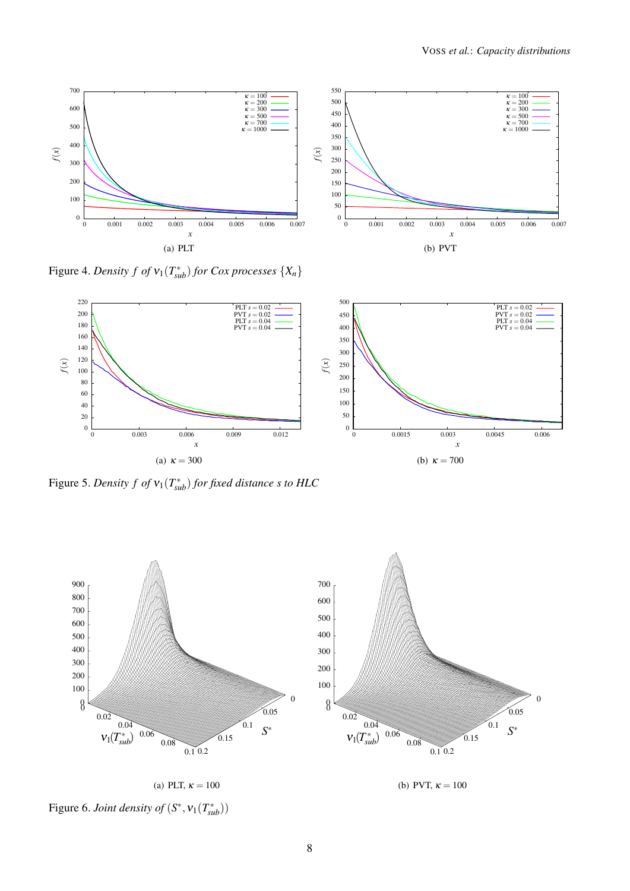

Figure 4. *Density f of*  $v_1(T_{sub}^*)$  *for Cox processes*  $\{X_n\}$ 



Figure 5. *Density f of*  $v_1(T_{sub}^*)$  *for fixed distance s to HLC* 



Figure 6. *Joint density of*  $(S^*, v_1(T^*_{sub}))$